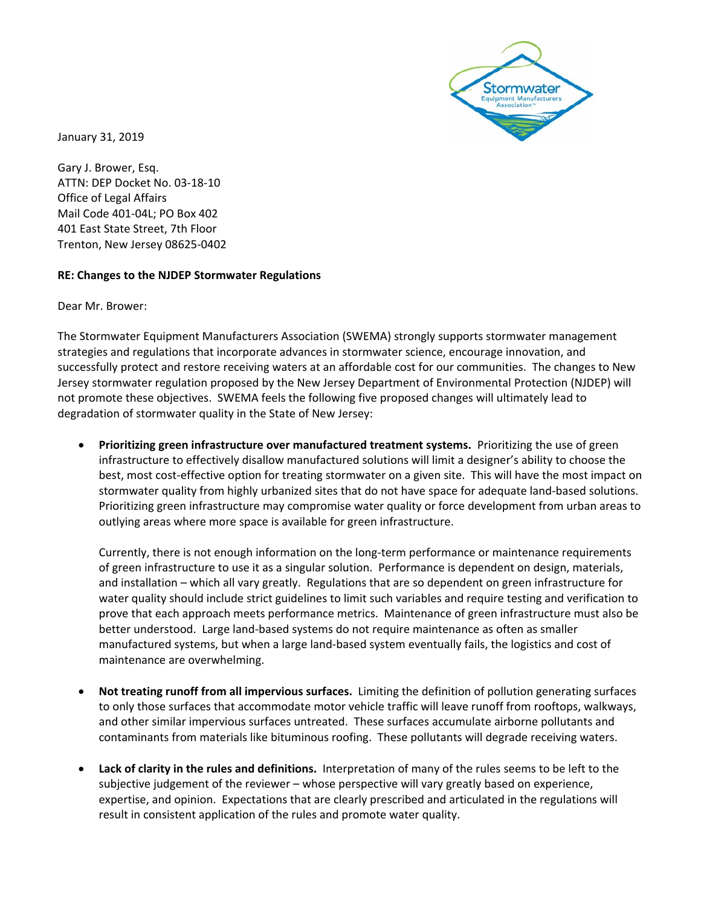

January 31, 2019

Gary J. Brower, Esq. ATTN: DEP Docket No. 03‐18‐10 Office of Legal Affairs Mail Code 401‐04L; PO Box 402 401 East State Street, 7th Floor Trenton, New Jersey 08625‐0402

## **RE: Changes to the NJDEP Stormwater Regulations**

Dear Mr. Brower:

The Stormwater Equipment Manufacturers Association (SWEMA) strongly supports stormwater management strategies and regulations that incorporate advances in stormwater science, encourage innovation, and successfully protect and restore receiving waters at an affordable cost for our communities. The changes to New Jersey stormwater regulation proposed by the New Jersey Department of Environmental Protection (NJDEP) will not promote these objectives. SWEMA feels the following five proposed changes will ultimately lead to degradation of stormwater quality in the State of New Jersey:

**•** Prioritizing green infrastructure over manufactured treatment systems. Prioritizing the use of green infrastructure to effectively disallow manufactured solutions will limit a designer's ability to choose the best, most cost‐effective option for treating stormwater on a given site. This will have the most impact on stormwater quality from highly urbanized sites that do not have space for adequate land‐based solutions. Prioritizing green infrastructure may compromise water quality or force development from urban areas to outlying areas where more space is available for green infrastructure.

Currently, there is not enough information on the long‐term performance or maintenance requirements of green infrastructure to use it as a singular solution. Performance is dependent on design, materials, and installation – which all vary greatly. Regulations that are so dependent on green infrastructure for water quality should include strict guidelines to limit such variables and require testing and verification to prove that each approach meets performance metrics. Maintenance of green infrastructure must also be better understood. Large land‐based systems do not require maintenance as often as smaller manufactured systems, but when a large land-based system eventually fails, the logistics and cost of maintenance are overwhelming.

- **Not treating runoff from all impervious surfaces.** Limiting the definition of pollution generating surfaces to only those surfaces that accommodate motor vehicle traffic will leave runoff from rooftops, walkways, and other similar impervious surfaces untreated. These surfaces accumulate airborne pollutants and contaminants from materials like bituminous roofing. These pollutants will degrade receiving waters.
- **Lack of clarity in the rules and definitions.** Interpretation of many of the rules seems to be left to the subjective judgement of the reviewer – whose perspective will vary greatly based on experience, expertise, and opinion. Expectations that are clearly prescribed and articulated in the regulations will result in consistent application of the rules and promote water quality.